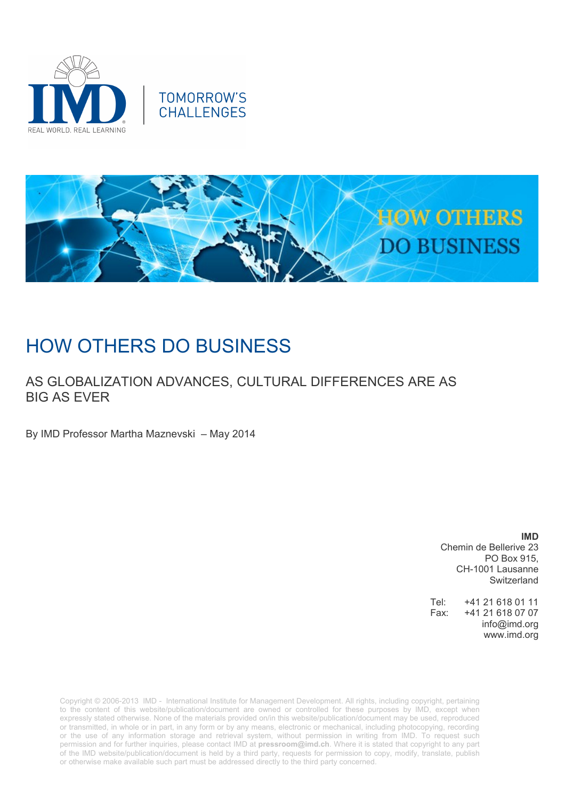



# HOW OTHERS DO BUSINESS

### AS GLOBALIZATION ADVANCES, CULTURAL DIFFERENCES ARE AS BIG AS EVER

By IMD Professor Martha Maznevski – May 2014

**IMD** Chemin de Bellerive 23 PO Box 915, CH-1001 Lausanne Switzerland

Tel: +41 21 618 01 11 Fax: +41 21 618 07 07 info@imd.org www.imd.org

Copyright © 2006-2013 IMD - International Institute for Management Development. All rights, including copyright, pertaining to the content of this website/publication/document are owned or controlled for these purposes by IMD, except when expressly stated otherwise. None of the materials provided on/in this website/publication/document may be used, reproduced or transmitted, in whole or in part, in any form or by any means, electronic or mechanical, including photocopying, recording or the use of any information storage and retrieval system, without permission in writing from IMD. To request such permission and for further inquiries, please contact IMD at **[pressroom@imd.ch](mailto:pressroom@imd.ch)**. Where it is stated that copyright to any part of the IMD website/publication/document is held by a third party, requests for permission to copy, modify, translate, publish or otherwise make available such part must be addressed directly to the third party concerned.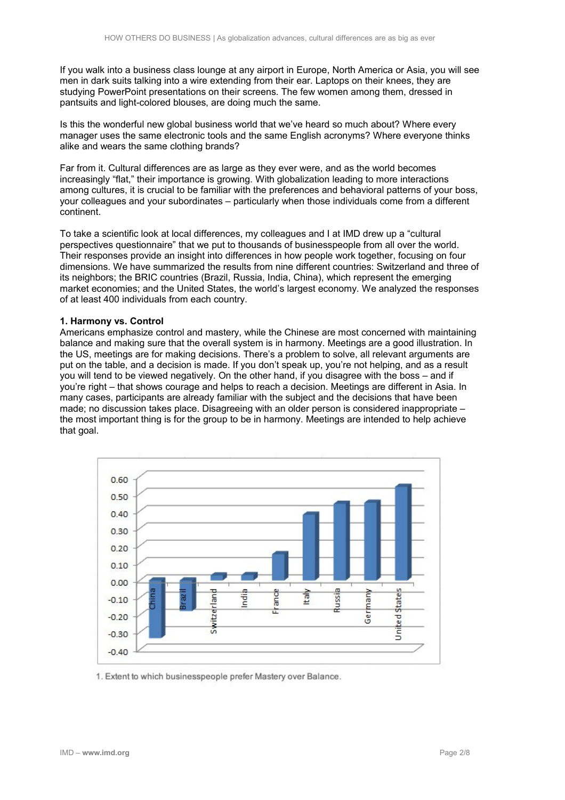If you walk into a business class lounge at any airport in Europe, North America or Asia, you will see men in dark suits talking into a wire extending from their ear. Laptops on their knees, they are studying PowerPoint presentations on their screens. The few women among them, dressed in pantsuits and light-colored blouses, are doing much the same.

Is this the wonderful new global business world that we've heard so much about? Where every manager uses the same electronic tools and the same English acronyms? Where everyone thinks alike and wears the same clothing brands?

Far from it. Cultural differences are as large as they ever were, and as the world becomes increasingly "flat," their importance is growing. With globalization leading to more interactions among cultures, it is crucial to be familiar with the preferences and behavioral patterns of your boss, your colleagues and your subordinates – particularly when those individuals come from a different continent.

To take a scientific look at local differences, my colleagues and I at IMD drew up a "cultural perspectives questionnaire" that we put to thousands of businesspeople from all over the world. Their responses provide an insight into differences in how people work together, focusing on four dimensions. We have summarized the results from nine different countries: Switzerland and three of its neighbors; the BRIC countries (Brazil, Russia, India, China), which represent the emerging market economies; and the United States, the world's largest economy. We analyzed the responses of at least 400 individuals from each country.

#### **1. Harmony vs. Control**

Americans emphasize control and mastery, while the Chinese are most concerned with maintaining balance and making sure that the overall system is in harmony. Meetings are a good illustration. In the US, meetings are for making decisions. There's a problem to solve, all relevant arguments are put on the table, and a decision is made. If you don't speak up, you're not helping, and as a result you will tend to be viewed negatively. On the other hand, if you disagree with the boss – and if you're right – that shows courage and helps to reach a decision. Meetings are different in Asia. In many cases, participants are already familiar with the subject and the decisions that have been made; no discussion takes place. Disagreeing with an older person is considered inappropriate – the most important thing is for the group to be in harmony. Meetings are intended to help achieve that goal.



1. Extent to which businesspeople prefer Mastery over Balance.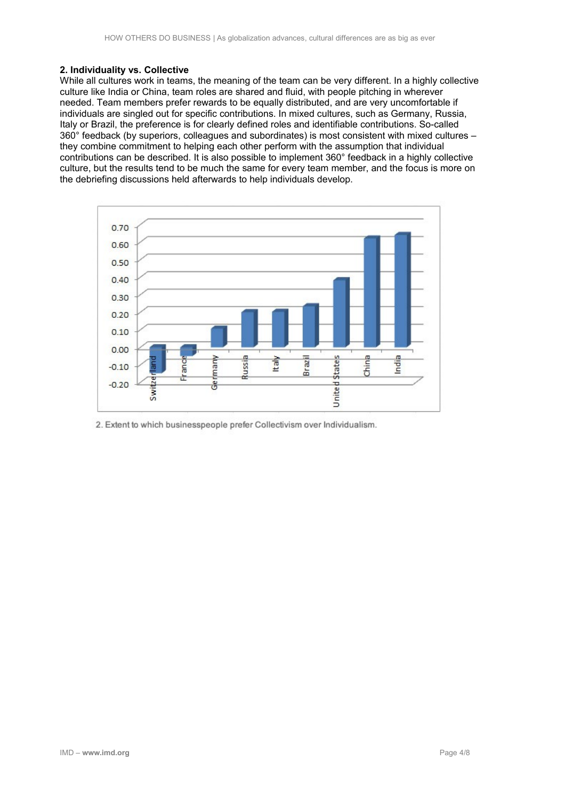#### **2. Individuality vs. Collective**

While all cultures work in teams, the meaning of the team can be very different. In a highly collective culture like India or China, team roles are shared and fluid, with people pitching in wherever needed. Team members prefer rewards to be equally distributed, and are very uncomfortable if individuals are singled out for specific contributions. In mixed cultures, such as Germany, Russia, Italy or Brazil, the preference is for clearly defined roles and identifiable contributions. So-called 360° feedback (by superiors, colleagues and subordinates) is most consistent with mixed cultures – they combine commitment to helping each other perform with the assumption that individual contributions can be described. It is also possible to implement 360° feedback in a highly collective culture, but the results tend to be much the same for every team member, and the focus is more on the debriefing discussions held afterwards to help individuals develop.



2. Extent to which businesspeople prefer Collectivism over Individualism.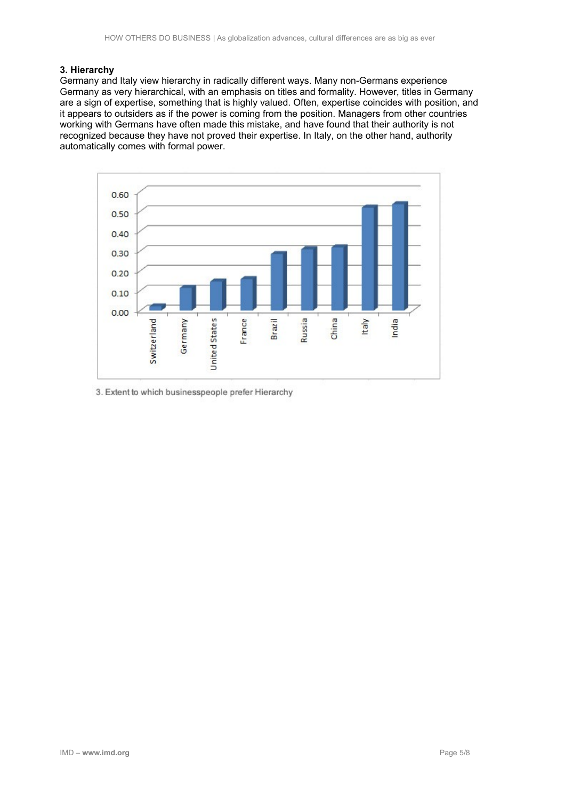#### **3. Hierarchy**

Germany and Italy view hierarchy in radically different ways. Many non-Germans experience Germany as very hierarchical, with an emphasis on titles and formality. However, titles in Germany are a sign of expertise, something that is highly valued. Often, expertise coincides with position, and it appears to outsiders as if the power is coming from the position. Managers from other countries working with Germans have often made this mistake, and have found that their authority is not recognized because they have not proved their expertise. In Italy, on the other hand, authority automatically comes with formal power.



3. Extent to which businesspeople prefer Hierarchy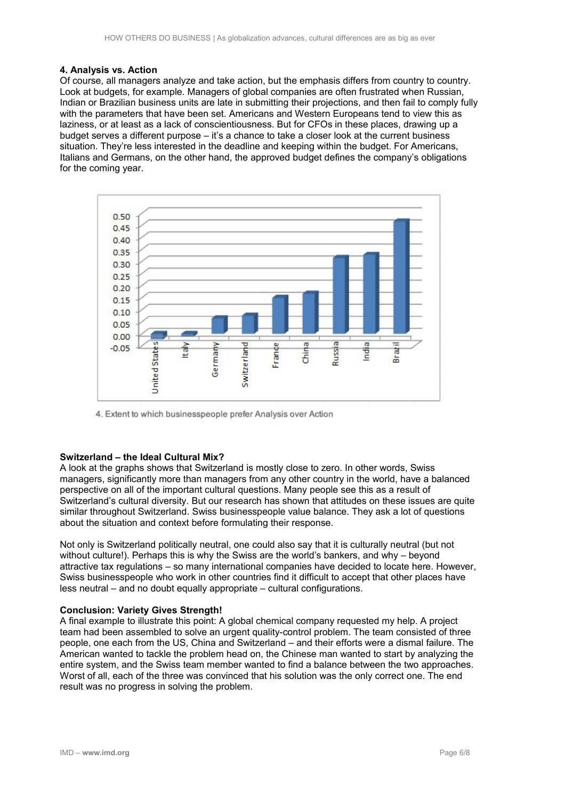#### **4. Analysis vs. Action**

Of course, all managers analyze and take action, but the emphasis differs from country to country. Look at budgets, for example. Managers of global companies are often frustrated when Russian, Indian or Brazilian business units are late in submitting their projections, and then fail to comply fully with the parameters that have been set. Americans and Western Europeans tend to view this as laziness, or at least as a lack of conscientiousness. But for CFOs in these places, drawing up a budget serves a different purpose – it's a chance to take a closer look at the current business situation. They're less interested in the deadline and keeping within the budget. For Americans, Italians and Germans, on the other hand, the approved budget defines the company's obligations for the coming year.



4. Extent to which businesspeople prefer Analysis over Action

#### **Switzerland – the Ideal Cultural Mix?**

A look at the graphs shows that Switzerland is mostly close to zero. In other words, Swiss managers, significantly more than managers from any other country in the world, have a balanced perspective on all of the important cultural questions. Many people see this as a result of Switzerland's cultural diversity. But our research has shown that attitudes on these issues are quite similar throughout Switzerland. Swiss businesspeople value balance. They ask a lot of questions about the situation and context before formulating their response.

Not only is Switzerland politically neutral, one could also say that it is culturally neutral (but not without culture!). Perhaps this is why the Swiss are the world's bankers, and why – beyond attractive tax regulations – so many international companies have decided to locate here. However, Swiss businesspeople who work in other countries find it difficult to accept that other places have less neutral – and no doubt equally appropriate – cultural configurations.

#### **Conclusion: Variety Gives Strength!**

A final example to illustrate this point: A global chemical company requested my help. A project team had been assembled to solve an urgent quality-control problem. The team consisted of three people, one each from the US, China and Switzerland – and their efforts were a dismal failure. The American wanted to tackle the problem head on, the Chinese man wanted to start by analyzing the entire system, and the Swiss team member wanted to find a balance between the two approaches. Worst of all, each of the three was convinced that his solution was the only correct one. The end result was no progress in solving the problem.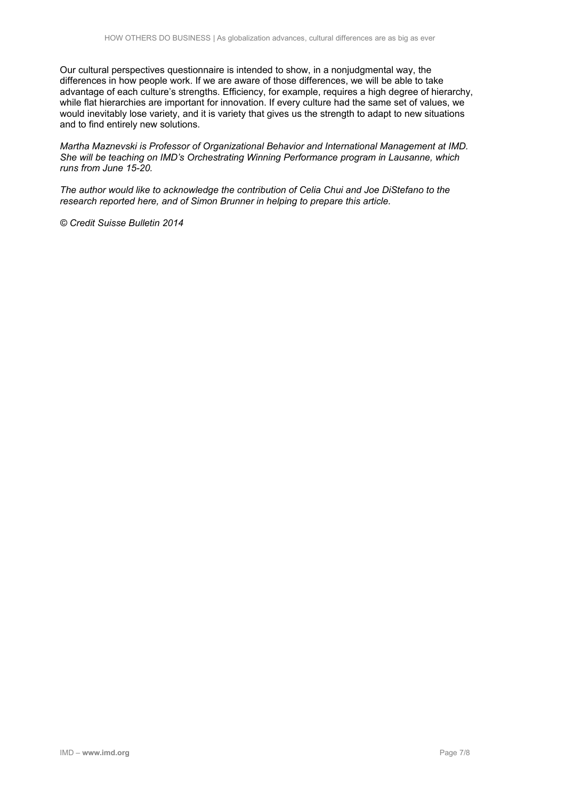Our cultural perspectives questionnaire is intended to show, in a nonjudgmental way, the differences in how people work. If we are aware of those differences, we will be able to take advantage of each culture's strengths. Efficiency, for example, requires a high degree of hierarchy, while flat hierarchies are important for innovation. If every culture had the same set of values, we would inevitably lose variety, and it is variety that gives us the strength to adapt to new situations and to find entirely new solutions.

*Martha Maznevski is Professor of Organizational Behavior and International Management at IMD. She will be teaching on IMD's Orchestrating Winning Performance program in Lausanne, which runs from June 15-20.*

*The author would like to acknowledge the contribution of Celia Chui and Joe DiStefano to the research reported here, and of Simon Brunner in helping to prepare this article.*

*© Credit Suisse Bulletin 2014*